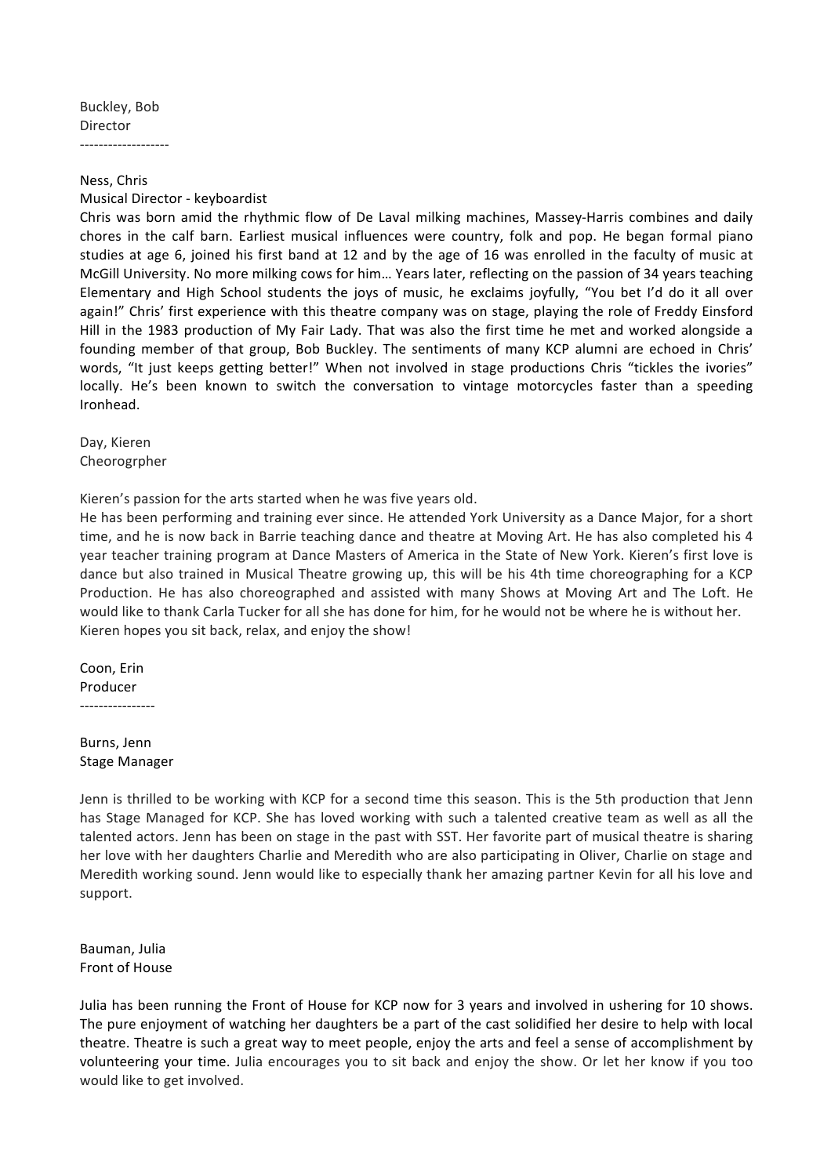Buckley, Bob Director

-------------------

Ness, Chris

Musical Director - keyboardist

Chris was born amid the rhythmic flow of De Laval milking machines, Massey-Harris combines and daily chores in the calf barn. Earliest musical influences were country, folk and pop. He began formal piano studies at age 6, joined his first band at 12 and by the age of 16 was enrolled in the faculty of music at McGill University. No more milking cows for him... Years later, reflecting on the passion of 34 years teaching Elementary and High School students the joys of music, he exclaims joyfully, "You bet I'd do it all over again!" Chris' first experience with this theatre company was on stage, playing the role of Freddy Einsford Hill in the 1983 production of My Fair Lady. That was also the first time he met and worked alongside a founding member of that group, Bob Buckley. The sentiments of many KCP alumni are echoed in Chris' words, "It just keeps getting better!" When not involved in stage productions Chris "tickles the ivories" locally. He's been known to switch the conversation to vintage motorcycles faster than a speeding Ironhead.

Dav, Kieren Cheorogrpher

Kieren's passion for the arts started when he was five years old.

He has been performing and training ever since. He attended York University as a Dance Major, for a short time, and he is now back in Barrie teaching dance and theatre at Moving Art. He has also completed his 4 year teacher training program at Dance Masters of America in the State of New York. Kieren's first love is dance but also trained in Musical Theatre growing up, this will be his 4th time choreographing for a KCP Production. He has also choreographed and assisted with many Shows at Moving Art and The Loft. He would like to thank Carla Tucker for all she has done for him, for he would not be where he is without her. Kieren hopes you sit back, relax, and enjoy the show!

Coon, Erin Producer ----------------

Burns, Jenn Stage Manager

Jenn is thrilled to be working with KCP for a second time this season. This is the 5th production that Jenn has Stage Managed for KCP. She has loved working with such a talented creative team as well as all the talented actors. Jenn has been on stage in the past with SST. Her favorite part of musical theatre is sharing her love with her daughters Charlie and Meredith who are also participating in Oliver, Charlie on stage and Meredith working sound. Jenn would like to especially thank her amazing partner Kevin for all his love and support.

Bauman, Julia Front of House

Julia has been running the Front of House for KCP now for 3 years and involved in ushering for 10 shows. The pure enjoyment of watching her daughters be a part of the cast solidified her desire to help with local theatre. Theatre is such a great way to meet people, enjoy the arts and feel a sense of accomplishment by volunteering your time. Julia encourages you to sit back and enjoy the show. Or let her know if you too would like to get involved.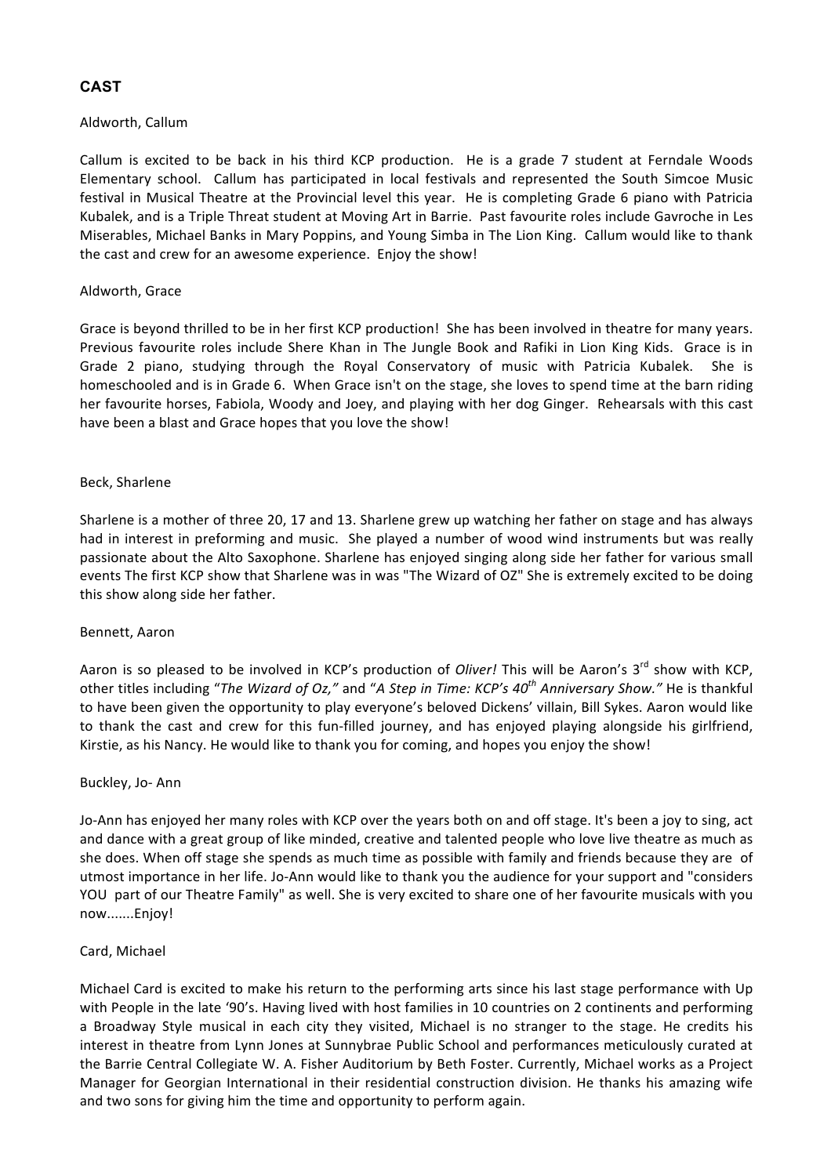# **CAST**

#### Aldworth, Callum

Callum is excited to be back in his third KCP production. He is a grade 7 student at Ferndale Woods Elementary school. Callum has participated in local festivals and represented the South Simcoe Music festival in Musical Theatre at the Provincial level this year. He is completing Grade 6 piano with Patricia Kubalek, and is a Triple Threat student at Moving Art in Barrie. Past favourite roles include Gavroche in Les Miserables, Michael Banks in Mary Poppins, and Young Simba in The Lion King. Callum would like to thank the cast and crew for an awesome experience. Enjoy the show!

# Aldworth, Grace

Grace is beyond thrilled to be in her first KCP production! She has been involved in theatre for many years. Previous favourite roles include Shere Khan in The Jungle Book and Rafiki in Lion King Kids. Grace is in Grade 2 piano, studying through the Royal Conservatory of music with Patricia Kubalek. She is homeschooled and is in Grade 6. When Grace isn't on the stage, she loves to spend time at the barn riding her favourite horses, Fabiola, Woody and Joey, and playing with her dog Ginger. Rehearsals with this cast have been a blast and Grace hopes that you love the show!

# Beck, Sharlene

Sharlene is a mother of three 20, 17 and 13. Sharlene grew up watching her father on stage and has always had in interest in preforming and music. She played a number of wood wind instruments but was really passionate about the Alto Saxophone. Sharlene has enjoyed singing along side her father for various small events The first KCP show that Sharlene was in was "The Wizard of OZ" She is extremely excited to be doing this show along side her father.

# Bennett, Aaron

Aaron is so pleased to be involved in KCP's production of *Oliver!* This will be Aaron's 3<sup>rd</sup> show with KCP, other titles including "*The Wizard of Oz,*" and "A Step in Time: KCP's 40<sup>th</sup> Anniversary Show." He is thankful to have been given the opportunity to play everyone's beloved Dickens' villain, Bill Sykes. Aaron would like to thank the cast and crew for this fun-filled journey, and has enjoyed playing alongside his girlfriend, Kirstie, as his Nancy. He would like to thank you for coming, and hopes you enjoy the show!

# Buckley, Jo- Ann

Jo-Ann has enjoyed her many roles with KCP over the years both on and off stage. It's been a joy to sing, act and dance with a great group of like minded, creative and talented people who love live theatre as much as she does. When off stage she spends as much time as possible with family and friends because they are of utmost importance in her life. Jo-Ann would like to thank you the audience for your support and "considers YOU part of our Theatre Family" as well. She is very excited to share one of her favourite musicals with you now.......Enjoy!

# Card, Michael

Michael Card is excited to make his return to the performing arts since his last stage performance with Up with People in the late '90's. Having lived with host families in 10 countries on 2 continents and performing a Broadway Style musical in each city they visited, Michael is no stranger to the stage. He credits his interest in theatre from Lynn Jones at Sunnybrae Public School and performances meticulously curated at the Barrie Central Collegiate W. A. Fisher Auditorium by Beth Foster. Currently, Michael works as a Project Manager for Georgian International in their residential construction division. He thanks his amazing wife and two sons for giving him the time and opportunity to perform again.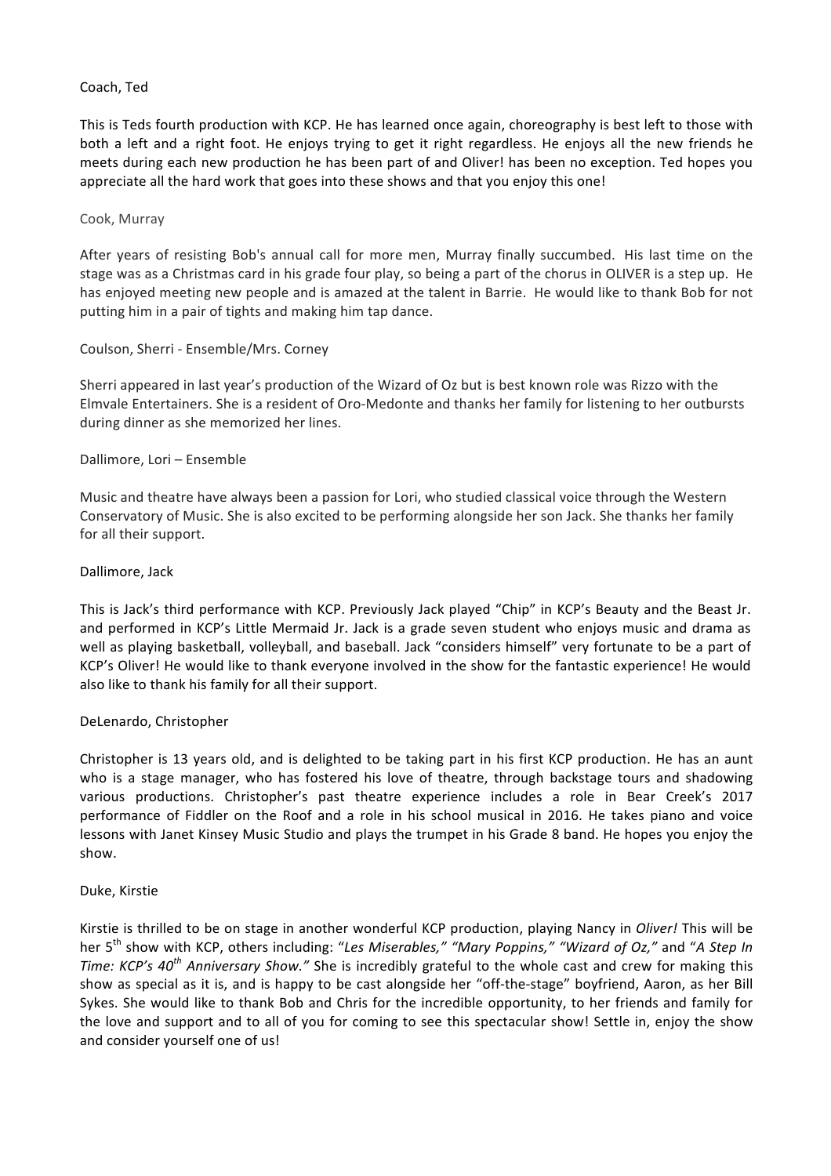#### Coach, Ted

This is Teds fourth production with KCP. He has learned once again, choreography is best left to those with both a left and a right foot. He enjoys trying to get it right regardless. He enjoys all the new friends he meets during each new production he has been part of and Oliver! has been no exception. Ted hopes you appreciate all the hard work that goes into these shows and that you enjoy this one!

#### Cook, Murray

After vears of resisting Bob's annual call for more men. Murray finally succumbed. His last time on the stage was as a Christmas card in his grade four play, so being a part of the chorus in OLIVER is a step up. He has enjoyed meeting new people and is amazed at the talent in Barrie. He would like to thank Bob for not putting him in a pair of tights and making him tap dance.

# Coulson, Sherri - Ensemble/Mrs. Corney

Sherri appeared in last year's production of the Wizard of Oz but is best known role was Rizzo with the Elmvale Entertainers. She is a resident of Oro-Medonte and thanks her family for listening to her outbursts during dinner as she memorized her lines.

#### Dallimore, Lori - Ensemble

Music and theatre have always been a passion for Lori, who studied classical voice through the Western Conservatory of Music. She is also excited to be performing alongside her son Jack. She thanks her family for all their support.

#### Dallimore, Jack

This is Jack's third performance with KCP. Previously Jack played "Chip" in KCP's Beauty and the Beast Jr. and performed in KCP's Little Mermaid Jr. Jack is a grade seven student who enjoys music and drama as well as playing basketball, volleyball, and baseball. Jack "considers himself" very fortunate to be a part of KCP's Oliver! He would like to thank everyone involved in the show for the fantastic experience! He would also like to thank his family for all their support.

# DeLenardo, Christopher

Christopher is 13 years old, and is delighted to be taking part in his first KCP production. He has an aunt who is a stage manager, who has fostered his love of theatre, through backstage tours and shadowing various productions. Christopher's past theatre experience includes a role in Bear Creek's 2017 performance of Fiddler on the Roof and a role in his school musical in 2016. He takes piano and voice lessons with Janet Kinsey Music Studio and plays the trumpet in his Grade 8 band. He hopes you enjoy the show.

# Duke, Kirstie

Kirstie is thrilled to be on stage in another wonderful KCP production, playing Nancy in *Oliver!* This will be her 5<sup>th</sup> show with KCP, others including: "Les Miserables," "Mary Poppins," "Wizard of Oz," and "A Step In *Time:* KCP's 40<sup>th</sup> Anniversary Show." She is incredibly grateful to the whole cast and crew for making this show as special as it is, and is happy to be cast alongside her "off-the-stage" boyfriend, Aaron, as her Bill Sykes. She would like to thank Bob and Chris for the incredible opportunity, to her friends and family for the love and support and to all of you for coming to see this spectacular show! Settle in, enjoy the show and consider yourself one of us!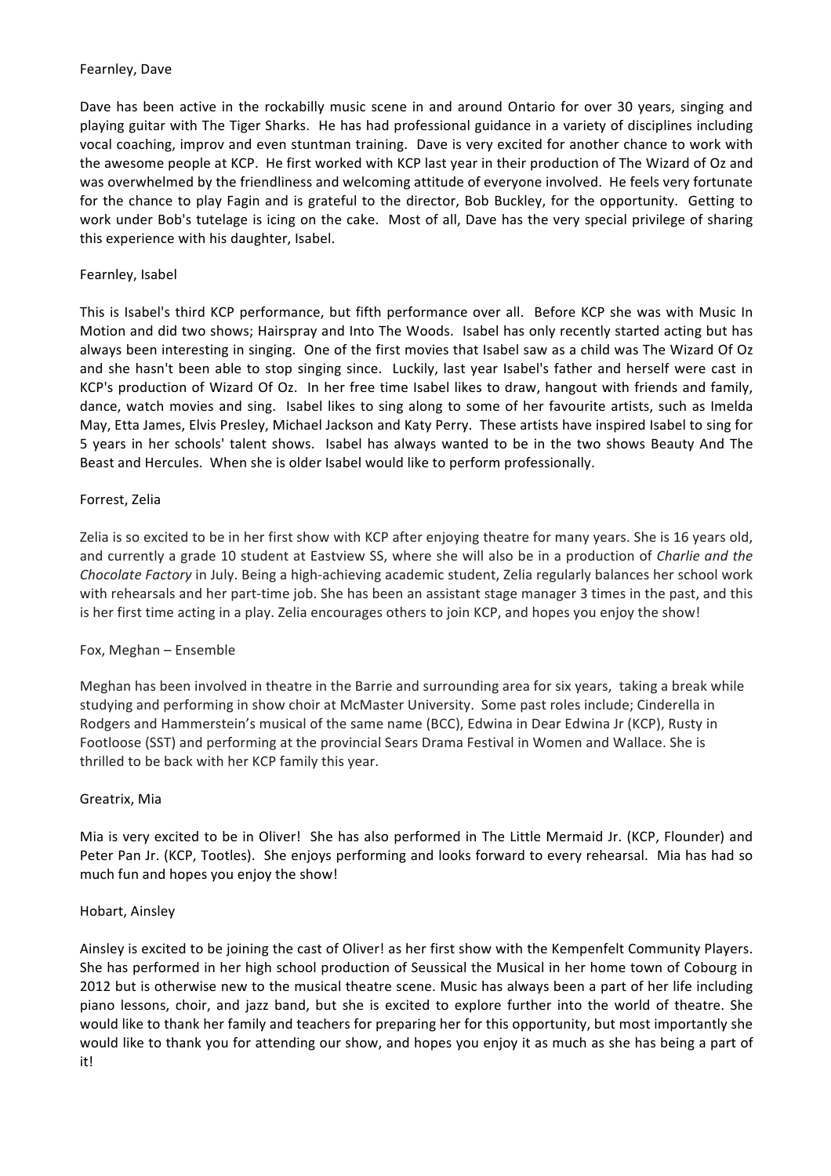# Fearnley, Dave

Dave has been active in the rockabilly music scene in and around Ontario for over 30 years, singing and playing guitar with The Tiger Sharks. He has had professional guidance in a variety of disciplines including vocal coaching, improv and even stuntman training. Dave is very excited for another chance to work with the awesome people at KCP. He first worked with KCP last year in their production of The Wizard of Oz and was overwhelmed by the friendliness and welcoming attitude of everyone involved. He feels very fortunate for the chance to play Fagin and is grateful to the director, Bob Buckley, for the opportunity. Getting to work under Bob's tutelage is icing on the cake. Most of all, Dave has the very special privilege of sharing this experience with his daughter, Isabel.

# Fearnley, Isabel

This is Isabel's third KCP performance, but fifth performance over all. Before KCP she was with Music In Motion and did two shows; Hairspray and Into The Woods. Isabel has only recently started acting but has always been interesting in singing. One of the first movies that Isabel saw as a child was The Wizard Of Oz and she hasn't been able to stop singing since. Luckily, last year Isabel's father and herself were cast in KCP's production of Wizard Of Oz. In her free time Isabel likes to draw, hangout with friends and family, dance, watch movies and sing. Isabel likes to sing along to some of her favourite artists, such as Imelda May, Etta James, Elvis Presley, Michael Jackson and Katy Perry. These artists have inspired Isabel to sing for 5 years in her schools' talent shows. Isabel has always wanted to be in the two shows Beauty And The Beast and Hercules. When she is older Isabel would like to perform professionally.

# Forrest, Zelia

Zelia is so excited to be in her first show with KCP after enjoying theatre for many years. She is 16 years old, and currently a grade 10 student at Eastview SS, where she will also be in a production of *Charlie and the Chocolate Factory* in July. Being a high-achieving academic student, Zelia regularly balances her school work with rehearsals and her part-time job. She has been an assistant stage manager 3 times in the past, and this is her first time acting in a play. Zelia encourages others to join KCP, and hopes you enjoy the show!

# Fox, Meghan - Ensemble

Meghan has been involved in theatre in the Barrie and surrounding area for six years, taking a break while studying and performing in show choir at McMaster University. Some past roles include; Cinderella in Rodgers and Hammerstein's musical of the same name (BCC), Edwina in Dear Edwina Jr (KCP), Rusty in Footloose (SST) and performing at the provincial Sears Drama Festival in Women and Wallace. She is thrilled to be back with her KCP family this year.

# Greatrix, Mia

Mia is very excited to be in Oliver! She has also performed in The Little Mermaid Jr. (KCP, Flounder) and Peter Pan Jr. (KCP, Tootles). She enjoys performing and looks forward to every rehearsal. Mia has had so much fun and hopes you enjoy the show!

# Hobart, Ainsley

Ainsley is excited to be joining the cast of Oliver! as her first show with the Kempenfelt Community Players. She has performed in her high school production of Seussical the Musical in her home town of Cobourg in 2012 but is otherwise new to the musical theatre scene. Music has always been a part of her life including piano lessons, choir, and jazz band, but she is excited to explore further into the world of theatre. She would like to thank her family and teachers for preparing her for this opportunity, but most importantly she would like to thank you for attending our show, and hopes you enjoy it as much as she has being a part of it!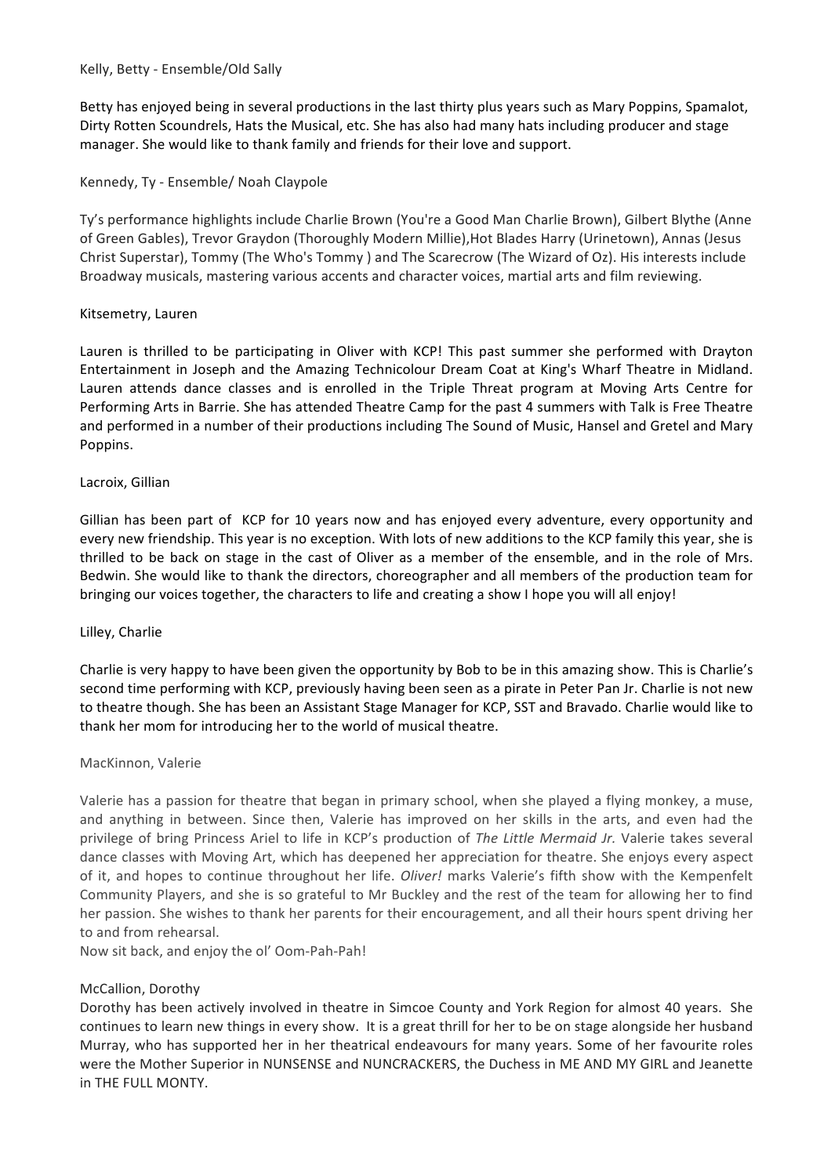Kelly, Betty - Ensemble/Old Sally

Betty has enjoyed being in several productions in the last thirty plus years such as Mary Poppins, Spamalot, Dirty Rotten Scoundrels, Hats the Musical, etc. She has also had many hats including producer and stage manager. She would like to thank family and friends for their love and support.

# Kennedy, Ty - Ensemble/ Noah Claypole

Ty's performance highlights include Charlie Brown (You're a Good Man Charlie Brown), Gilbert Blythe (Anne of Green Gables), Trevor Graydon (Thoroughly Modern Millie), Hot Blades Harry (Urinetown), Annas (Jesus Christ Superstar), Tommy (The Who's Tommy) and The Scarecrow (The Wizard of Oz). His interests include Broadway musicals, mastering various accents and character voices, martial arts and film reviewing.

# Kitsemetry, Lauren

Lauren is thrilled to be participating in Oliver with KCP! This past summer she performed with Drayton Entertainment in Joseph and the Amazing Technicolour Dream Coat at King's Wharf Theatre in Midland. Lauren attends dance classes and is enrolled in the Triple Threat program at Moving Arts Centre for Performing Arts in Barrie. She has attended Theatre Camp for the past 4 summers with Talk is Free Theatre and performed in a number of their productions including The Sound of Music, Hansel and Gretel and Mary Poppins. 

# Lacroix, Gillian

Gillian has been part of KCP for 10 years now and has enjoyed every adventure, every opportunity and every new friendship. This year is no exception. With lots of new additions to the KCP family this year, she is thrilled to be back on stage in the cast of Oliver as a member of the ensemble, and in the role of Mrs. Bedwin. She would like to thank the directors, choreographer and all members of the production team for bringing our voices together, the characters to life and creating a show I hope you will all enjoy!

# Lilley, Charlie

Charlie is very happy to have been given the opportunity by Bob to be in this amazing show. This is Charlie's second time performing with KCP, previously having been seen as a pirate in Peter Pan Jr. Charlie is not new to theatre though. She has been an Assistant Stage Manager for KCP, SST and Bravado. Charlie would like to thank her mom for introducing her to the world of musical theatre.

# MacKinnon, Valerie

Valerie has a passion for theatre that began in primary school, when she played a flying monkey, a muse, and anything in between. Since then, Valerie has improved on her skills in the arts, and even had the privilege of bring Princess Ariel to life in KCP's production of *The Little Mermaid Jr.* Valerie takes several dance classes with Moving Art, which has deepened her appreciation for theatre. She enjoys every aspect of it, and hopes to continue throughout her life. *Oliver!* marks Valerie's fifth show with the Kempenfelt Community Players, and she is so grateful to Mr Buckley and the rest of the team for allowing her to find her passion. She wishes to thank her parents for their encouragement, and all their hours spent driving her to and from rehearsal.

Now sit back, and enjoy the ol' Oom-Pah-Pah!

# McCallion, Dorothy

Dorothy has been actively involved in theatre in Simcoe County and York Region for almost 40 years. She continues to learn new things in every show. It is a great thrill for her to be on stage alongside her husband Murray, who has supported her in her theatrical endeavours for many years. Some of her favourite roles were the Mother Superior in NUNSENSE and NUNCRACKERS, the Duchess in ME AND MY GIRL and Jeanette in THE FULL MONTY.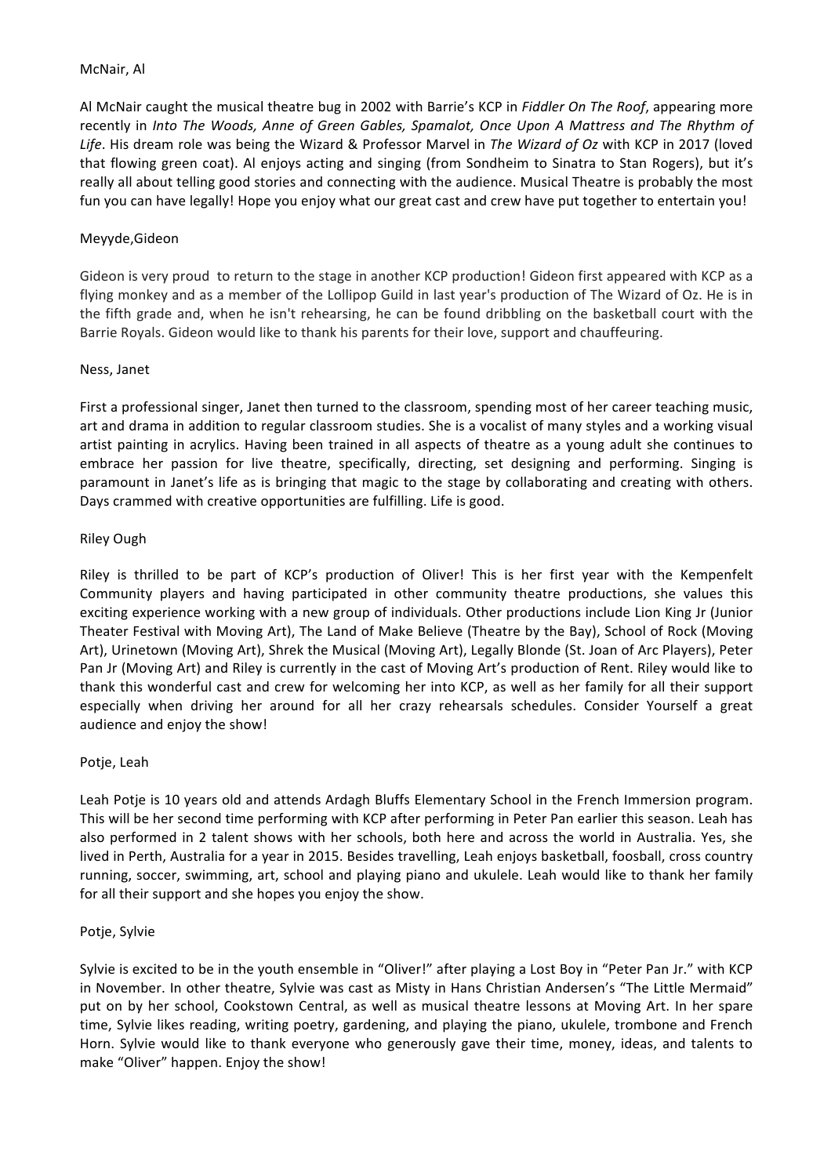#### McNair, Al

Al McNair caught the musical theatre bug in 2002 with Barrie's KCP in *Fiddler On The Roof*, appearing more recently in *Into The Woods, Anne of Green Gables, Spamalot, Once Upon A Mattress and The Rhythm of* Life. His dream role was being the Wizard & Professor Marvel in *The Wizard of Oz* with KCP in 2017 (loved that flowing green coat). Al enjoys acting and singing (from Sondheim to Sinatra to Stan Rogers), but it's really all about telling good stories and connecting with the audience. Musical Theatre is probably the most fun you can have legally! Hope you enjoy what our great cast and crew have put together to entertain you!

# Meyyde,Gideon

Gideon is very proud to return to the stage in another KCP production! Gideon first appeared with KCP as a flying monkey and as a member of the Lollipop Guild in last year's production of The Wizard of Oz. He is in the fifth grade and, when he isn't rehearsing, he can be found dribbling on the basketball court with the Barrie Royals. Gideon would like to thank his parents for their love, support and chauffeuring.

#### Ness, Janet

First a professional singer, Janet then turned to the classroom, spending most of her career teaching music, art and drama in addition to regular classroom studies. She is a vocalist of many styles and a working visual artist painting in acrylics. Having been trained in all aspects of theatre as a young adult she continues to embrace her passion for live theatre, specifically, directing, set designing and performing. Singing is paramount in Janet's life as is bringing that magic to the stage by collaborating and creating with others. Days crammed with creative opportunities are fulfilling. Life is good.

#### Riley Ough

Riley is thrilled to be part of KCP's production of Oliver! This is her first year with the Kempenfelt Community players and having participated in other community theatre productions, she values this exciting experience working with a new group of individuals. Other productions include Lion King Jr (Junior Theater Festival with Moving Art), The Land of Make Believe (Theatre by the Bay), School of Rock (Moving Art), Urinetown (Moving Art), Shrek the Musical (Moving Art), Legally Blonde (St. Joan of Arc Players), Peter Pan Jr (Moving Art) and Riley is currently in the cast of Moving Art's production of Rent. Riley would like to thank this wonderful cast and crew for welcoming her into KCP, as well as her family for all their support especially when driving her around for all her crazy rehearsals schedules. Consider Yourself a great audience and enjoy the show!

# Potje, Leah

Leah Potje is 10 years old and attends Ardagh Bluffs Elementary School in the French Immersion program. This will be her second time performing with KCP after performing in Peter Pan earlier this season. Leah has also performed in 2 talent shows with her schools, both here and across the world in Australia. Yes, she lived in Perth, Australia for a year in 2015. Besides travelling, Leah enjoys basketball, foosball, cross country running, soccer, swimming, art, school and playing piano and ukulele. Leah would like to thank her family for all their support and she hopes you enjoy the show.

#### Potje, Sylvie

Sylvie is excited to be in the youth ensemble in "Oliver!" after playing a Lost Boy in "Peter Pan Jr." with KCP in November. In other theatre, Sylvie was cast as Misty in Hans Christian Andersen's "The Little Mermaid" put on by her school, Cookstown Central, as well as musical theatre lessons at Moving Art. In her spare time, Sylvie likes reading, writing poetry, gardening, and playing the piano, ukulele, trombone and French Horn. Sylvie would like to thank everyone who generously gave their time, money, ideas, and talents to make "Oliver" happen. Enjoy the show!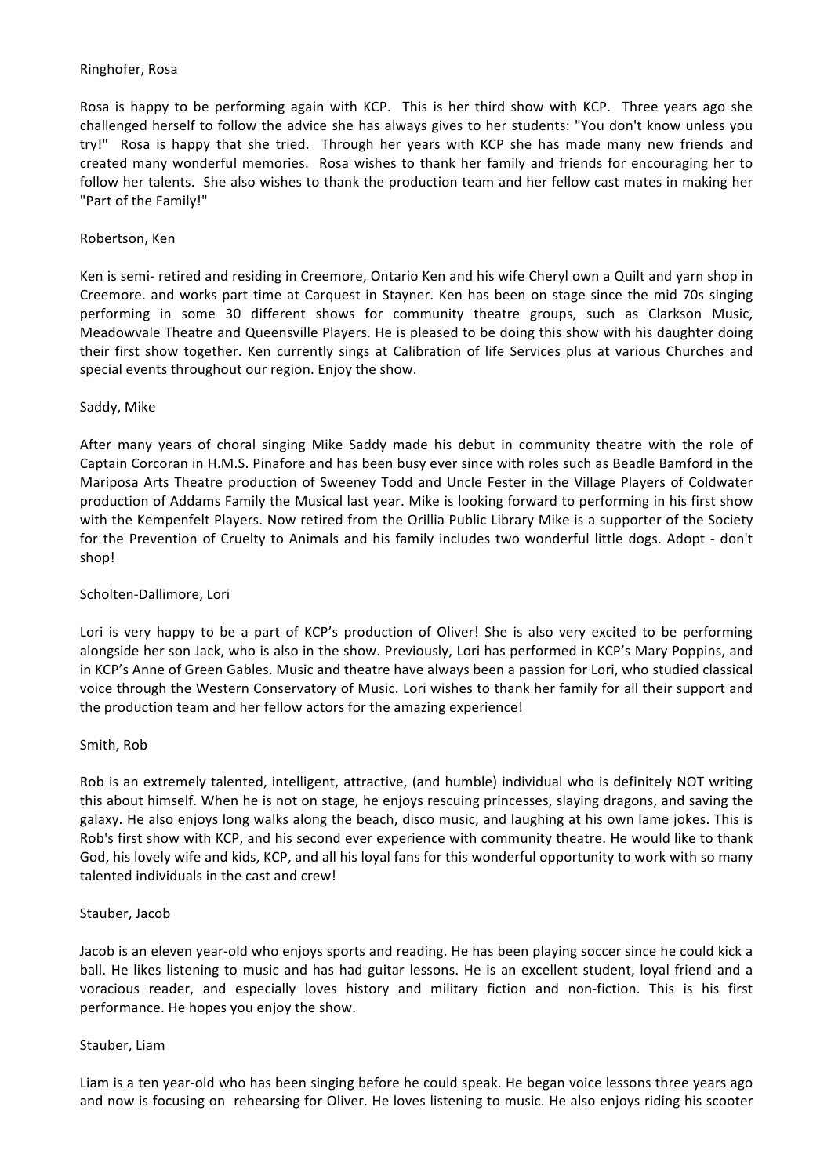# Ringhofer, Rosa

Rosa is happy to be performing again with KCP. This is her third show with KCP. Three years ago she challenged herself to follow the advice she has always gives to her students: "You don't know unless you try!" Rosa is happy that she tried. Through her years with KCP she has made many new friends and created many wonderful memories. Rosa wishes to thank her family and friends for encouraging her to follow her talents. She also wishes to thank the production team and her fellow cast mates in making her "Part of the Family!"

# Robertson, Ken

Ken is semi- retired and residing in Creemore, Ontario Ken and his wife Cheryl own a Quilt and yarn shop in Creemore. and works part time at Carquest in Stayner. Ken has been on stage since the mid 70s singing performing in some 30 different shows for community theatre groups, such as Clarkson Music, Meadowvale Theatre and Queensville Players. He is pleased to be doing this show with his daughter doing their first show together. Ken currently sings at Calibration of life Services plus at various Churches and special events throughout our region. Enjoy the show.

#### Saddy, Mike

After many years of choral singing Mike Saddy made his debut in community theatre with the role of Captain Corcoran in H.M.S. Pinafore and has been busy ever since with roles such as Beadle Bamford in the Mariposa Arts Theatre production of Sweeney Todd and Uncle Fester in the Village Players of Coldwater production of Addams Family the Musical last year. Mike is looking forward to performing in his first show with the Kempenfelt Players. Now retired from the Orillia Public Library Mike is a supporter of the Society for the Prevention of Cruelty to Animals and his family includes two wonderful little dogs. Adopt - don't shop!

#### Scholten-Dallimore, Lori

Lori is very happy to be a part of KCP's production of Oliver! She is also very excited to be performing alongside her son Jack, who is also in the show. Previously, Lori has performed in KCP's Mary Poppins, and in KCP's Anne of Green Gables. Music and theatre have always been a passion for Lori, who studied classical voice through the Western Conservatory of Music. Lori wishes to thank her family for all their support and the production team and her fellow actors for the amazing experience!

# Smith, Rob

Rob is an extremely talented, intelligent, attractive, (and humble) individual who is definitely NOT writing this about himself. When he is not on stage, he enjoys rescuing princesses, slaying dragons, and saving the galaxy. He also enjoys long walks along the beach, disco music, and laughing at his own lame jokes. This is Rob's first show with KCP, and his second ever experience with community theatre. He would like to thank God, his lovely wife and kids, KCP, and all his loyal fans for this wonderful opportunity to work with so many talented individuals in the cast and crew!

#### Stauber, Jacob

Jacob is an eleven year-old who enjoys sports and reading. He has been playing soccer since he could kick a ball. He likes listening to music and has had guitar lessons. He is an excellent student, loyal friend and a voracious reader, and especially loves history and military fiction and non-fiction. This is his first performance. He hopes you enjoy the show.

#### Stauber, Liam

Liam is a ten year-old who has been singing before he could speak. He began voice lessons three years ago and now is focusing on rehearsing for Oliver. He loves listening to music. He also enjoys riding his scooter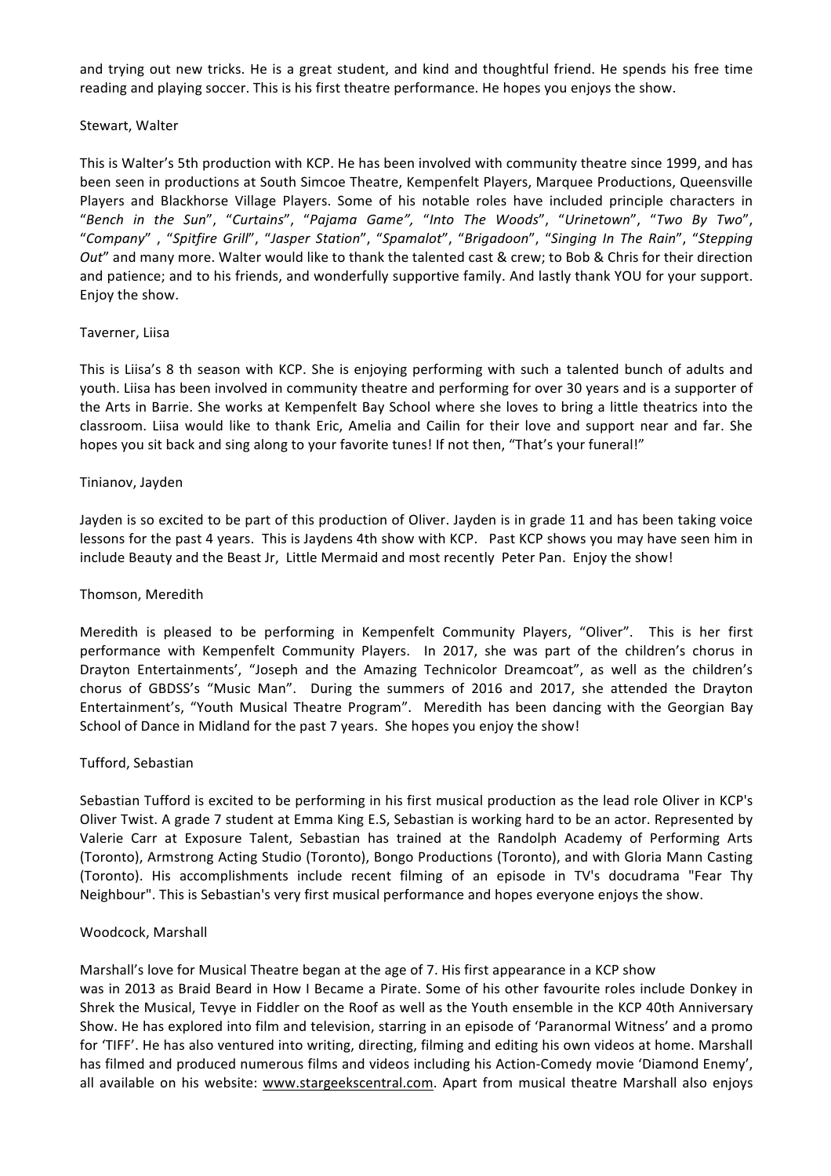and trying out new tricks. He is a great student, and kind and thoughtful friend. He spends his free time reading and playing soccer. This is his first theatre performance. He hopes you enjoys the show.

#### Stewart, Walter

This is Walter's 5th production with KCP. He has been involved with community theatre since 1999, and has been seen in productions at South Simcoe Theatre, Kempenfelt Players, Marquee Productions, Queensville Players and Blackhorse Village Players. Some of his notable roles have included principle characters in "*Bench in the Sun*", "*Curtains*", "*Pajama Game",*  "*Into The Woods*", "*Urinetown*", "*Two By Two*", "*Company*" , "*Spitfire Grill*", "*Jasper Station*", "*Spamalot*", "*Brigadoon*", "*Singing In The Rain*", "*Stepping Out*" and many more. Walter would like to thank the talented cast & crew; to Bob & Chris for their direction and patience; and to his friends, and wonderfully supportive family. And lastly thank YOU for your support. Enjoy the show.

#### Taverner, Liisa

This is Liisa's 8 th season with KCP. She is enjoying performing with such a talented bunch of adults and youth. Liisa has been involved in community theatre and performing for over 30 years and is a supporter of the Arts in Barrie. She works at Kempenfelt Bay School where she loves to bring a little theatrics into the classroom. Liisa would like to thank Eric, Amelia and Cailin for their love and support near and far. She hopes you sit back and sing along to your favorite tunes! If not then, "That's your funeral!"

#### Tinianov, Jayden

Jayden is so excited to be part of this production of Oliver. Jayden is in grade 11 and has been taking voice lessons for the past 4 years. This is Jaydens 4th show with KCP. Past KCP shows you may have seen him in include Beauty and the Beast Jr, Little Mermaid and most recently Peter Pan. Enjoy the show!

#### Thomson, Meredith

Meredith is pleased to be performing in Kempenfelt Community Players, "Oliver". This is her first performance with Kempenfelt Community Players. In 2017, she was part of the children's chorus in Drayton Entertainments', "Joseph and the Amazing Technicolor Dreamcoat", as well as the children's chorus of GBDSS's "Music Man". During the summers of 2016 and 2017, she attended the Drayton Entertainment's, "Youth Musical Theatre Program". Meredith has been dancing with the Georgian Bay School of Dance in Midland for the past 7 years. She hopes you enjoy the show!

# Tufford, Sebastian

Sebastian Tufford is excited to be performing in his first musical production as the lead role Oliver in KCP's Oliver Twist. A grade 7 student at Emma King E.S, Sebastian is working hard to be an actor. Represented by Valerie Carr at Exposure Talent, Sebastian has trained at the Randolph Academy of Performing Arts (Toronto), Armstrong Acting Studio (Toronto), Bongo Productions (Toronto), and with Gloria Mann Casting (Toronto). His accomplishments include recent filming of an episode in TV's docudrama "Fear Thy Neighbour". This is Sebastian's very first musical performance and hopes everyone enjoys the show.

#### Woodcock, Marshall

Marshall's love for Musical Theatre began at the age of 7. His first appearance in a KCP show was in 2013 as Braid Beard in How I Became a Pirate. Some of his other favourite roles include Donkey in Shrek the Musical, Tevye in Fiddler on the Roof as well as the Youth ensemble in the KCP 40th Anniversary Show. He has explored into film and television, starring in an episode of 'Paranormal Witness' and a promo for 'TIFF'. He has also ventured into writing, directing, filming and editing his own videos at home. Marshall has filmed and produced numerous films and videos including his Action-Comedy movie 'Diamond Enemy', all available on his website: www.stargeekscentral.com. Apart from musical theatre Marshall also enjoys